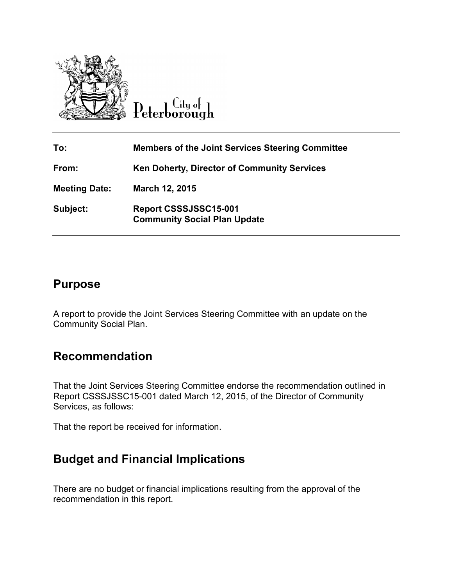



| To:                  | <b>Members of the Joint Services Steering Committee</b>      |
|----------------------|--------------------------------------------------------------|
| From:                | <b>Ken Doherty, Director of Community Services</b>           |
| <b>Meeting Date:</b> | March 12, 2015                                               |
| Subject:             | Report CSSSJSSC15-001<br><b>Community Social Plan Update</b> |

# **Purpose**

A report to provide the Joint Services Steering Committee with an update on the Community Social Plan.

# **Recommendation**

That the Joint Services Steering Committee endorse the recommendation outlined in Report CSSSJSSC15-001 dated March 12, 2015, of the Director of Community Services, as follows:

That the report be received for information.

# **Budget and Financial Implications**

There are no budget or financial implications resulting from the approval of the recommendation in this report.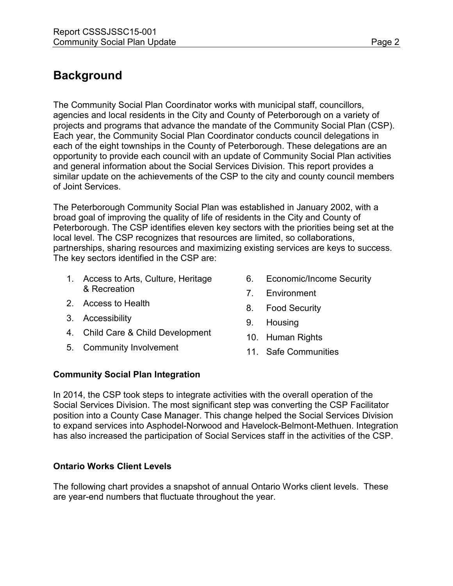# **Background**

The Community Social Plan Coordinator works with municipal staff, councillors, agencies and local residents in the City and County of Peterborough on a variety of projects and programs that advance the mandate of the Community Social Plan (CSP). Each year, the Community Social Plan Coordinator conducts council delegations in each of the eight townships in the County of Peterborough. These delegations are an opportunity to provide each council with an update of Community Social Plan activities and general information about the Social Services Division. This report provides a similar update on the achievements of the CSP to the city and county council members of Joint Services.

The Peterborough Community Social Plan was established in January 2002, with a broad goal of improving the quality of life of residents in the City and County of Peterborough. The CSP identifies eleven key sectors with the priorities being set at the local level. The CSP recognizes that resources are limited, so collaborations, partnerships, sharing resources and maximizing existing services are keys to success. The key sectors identified in the CSP are:

- 1. Access to Arts, Culture, Heritage & Recreation
- 2. Access to Health
- 3. Accessibility
- 4. Child Care & Child Development
- 5. Community Involvement
- 6. Economic/Income Security
- 7. Environment
- 8. Food Security
- 9. Housing
- 10. Human Rights
- 11. Safe Communities

# **Community Social Plan Integration**

In 2014, the CSP took steps to integrate activities with the overall operation of the Social Services Division. The most significant step was converting the CSP Facilitator position into a County Case Manager. This change helped the Social Services Division to expand services into Asphodel-Norwood and Havelock-Belmont-Methuen. Integration has also increased the participation of Social Services staff in the activities of the CSP.

# **Ontario Works Client Levels**

The following chart provides a snapshot of annual Ontario Works client levels. These are year-end numbers that fluctuate throughout the year.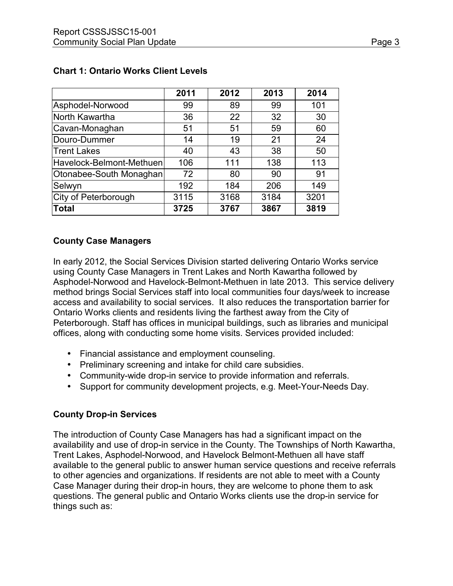|                          | 2011 | 2012 | 2013 | 2014 |
|--------------------------|------|------|------|------|
| Asphodel-Norwood         | 99   | 89   | 99   | 101  |
| North Kawartha           | 36   | 22   | 32   | 30   |
| Cavan-Monaghan           | 51   | 51   | 59   | 60   |
| Douro-Dummer             | 14   | 19   | 21   | 24   |
| Trent Lakes              | 40   | 43   | 38   | 50   |
| Havelock-Belmont-Methuen | 106  | 111  | 138  | 113  |
| Otonabee-South Monaghan  | 72   | 80   | 90   | 91   |
| Selwyn                   | 192  | 184  | 206  | 149  |
| City of Peterborough     | 3115 | 3168 | 3184 | 3201 |
| <b>Total</b>             | 3725 | 3767 | 3867 | 3819 |

## **Chart 1: Ontario Works Client Levels**

## **County Case Managers**

In early 2012, the Social Services Division started delivering Ontario Works service using County Case Managers in Trent Lakes and North Kawartha followed by Asphodel-Norwood and Havelock-Belmont-Methuen in late 2013. This service delivery method brings Social Services staff into local communities four days/week to increase access and availability to social services. It also reduces the transportation barrier for Ontario Works clients and residents living the farthest away from the City of Peterborough. Staff has offices in municipal buildings, such as libraries and municipal offices, along with conducting some home visits. Services provided included:

- Financial assistance and employment counseling.
- Preliminary screening and intake for child care subsidies.
- Community-wide drop-in service to provide information and referrals.
- Support for community development projects, e.g. Meet-Your-Needs Day.

# **County Drop-in Services**

The introduction of County Case Managers has had a significant impact on the availability and use of drop-in service in the County. The Townships of North Kawartha, Trent Lakes, Asphodel-Norwood, and Havelock Belmont-Methuen all have staff available to the general public to answer human service questions and receive referrals to other agencies and organizations. If residents are not able to meet with a County Case Manager during their drop-in hours, they are welcome to phone them to ask questions. The general public and Ontario Works clients use the drop-in service for things such as: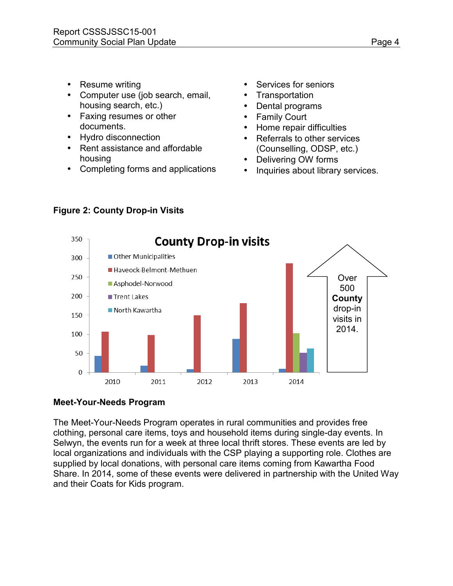- Resume writing
- Computer use (job search, email, housing search, etc.)
- Faxing resumes or other documents.
- Hydro disconnection
- Rent assistance and affordable housing
- Completing forms and applications
- Services for seniors
- **Transportation**
- Dental programs
- **Family Court**
- Home repair difficulties
- Referrals to other services (Counselling, ODSP, etc.)
- Delivering OW forms
- Inquiries about library services.



# **Figure 2: County Drop-in Visits**

# **Meet-Your-Needs Program**

The Meet-Your-Needs Program operates in rural communities and provides free clothing, personal care items, toys and household items during single-day events. In Selwyn, the events run for a week at three local thrift stores. These events are led by local organizations and individuals with the CSP playing a supporting role. Clothes are supplied by local donations, with personal care items coming from Kawartha Food Share. In 2014, some of these events were delivered in partnership with the United Way and their Coats for Kids program.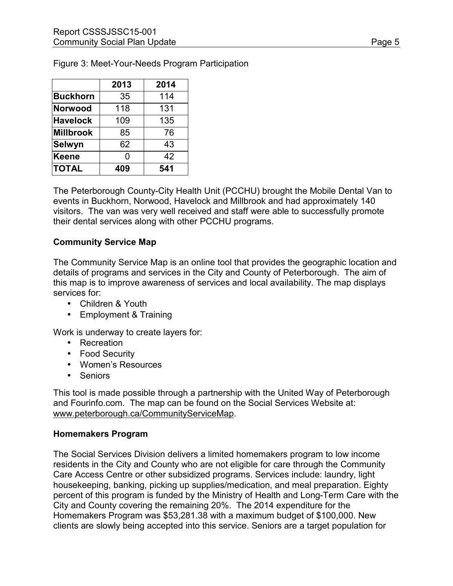|                  | 2013 | 2014 |
|------------------|------|------|
| Buckhorn         | 35   | 114  |
| Norwood          | 118  | 131  |
| <b>Havelock</b>  | 109  | 135  |
| <b>Millbrook</b> | 85   | 76   |
| Selwyn           | 62   | 43   |
| Keene            | 0    | 42   |
| <b>TOTAL</b>     | 409  | 541  |

Figure 3: Meet-Your-Needs Program Participation

The Peterborough County-City Health Unit (PCCHU) brought the Mobile Dental Van to events in Buckhorn, Norwood, Havelock and Millbrook and had approximately 140 visitors. The van was very well received and staff were able to successfully promote their dental services along with other PCCHU programs.

#### **Community Service Map**

The Community Service Map is an online tool that provides the geographic location and details of programs and services in the City and County of Peterborough. The aim of this map is to improve awareness of services and local availability. The map displays services for:

- Children & Youth
- Employment & Training

Work is underway to create layers for:

- Recreation
- Food Security
- Women's Resources
- Seniors

This tool is made possible through a partnership with the United Way of Peterborough and Fourinfo.com. The map can be found on the Social Services Website at: [www.peterborough.ca/CommunityServiceMap.](http://www.peterborough.ca/CommunityServiceMap)

#### **Homemakers Program**

The Social Services Division delivers a limited homemakers program to low income residents in the City and County who are not eligible for care through the Community Care Access Centre or other subsidized programs. Services include: laundry, light housekeeping, banking, picking up supplies/medication, and meal preparation. Eighty percent of this program is funded by the Ministry of Health and Long-Term Care with the City and County covering the remaining 20%. The 2014 expenditure for the Homemakers Program was \$53,281.38 with a maximum budget of \$100,000. New clients are slowly being accepted into this service. Seniors are a target population for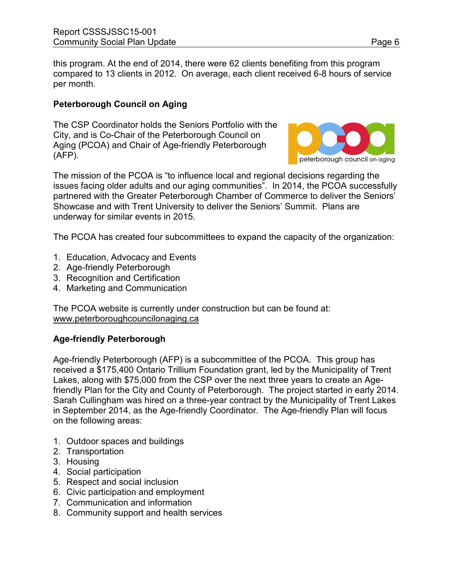this program. At the end of 2014, there were 62 clients benefiting from this program compared to 13 clients in 2012. On average, each client received 6-8 hours of service per month.

# **Peterborough Council on Aging**

The CSP Coordinator holds the Seniors Portfolio with the City, and is Co-Chair of the Peterborough Council on Aging (PCOA) and Chair of Age-friendly Peterborough (AFP).



The mission of the PCOA is "to influence local and regional decisions regarding the issues facing older adults and our aging communities". In 2014, the PCOA successfully partnered with the Greater Peterborough Chamber of Commerce to deliver the Seniors' Showcase and with Trent University to deliver the Seniors' Summit. Plans are underway for similar events in 2015.

The PCOA has created four subcommittees to expand the capacity of the organization:

- 1. Education, Advocacy and Events
- 2. Age-friendly Peterborough
- 3. Recognition and Certification
- 4. Marketing and Communication

The PCOA website is currently under construction but can be found at: [www.peterboroughcouncilonaging.ca](http://www.peterboroughcouncilonaging.ca/)

# **Age-friendly Peterborough**

Age-friendly Peterborough (AFP) is a subcommittee of the PCOA. This group has received a \$175,400 Ontario Trillium Foundation grant, led by the Municipality of Trent Lakes, along with \$75,000 from the CSP over the next three years to create an Agefriendly Plan for the City and County of Peterborough. The project started in early 2014. Sarah Cullingham was hired on a three-year contract by the Municipality of Trent Lakes in September 2014, as the Age-friendly Coordinator. The Age-friendly Plan will focus on the following areas:

- 1. Outdoor spaces and buildings
- 2. Transportation
- 3. Housing
- 4. Social participation
- 5. Respect and social inclusion
- 6. Civic participation and employment
- 7. Communication and information
- 8. Community support and health services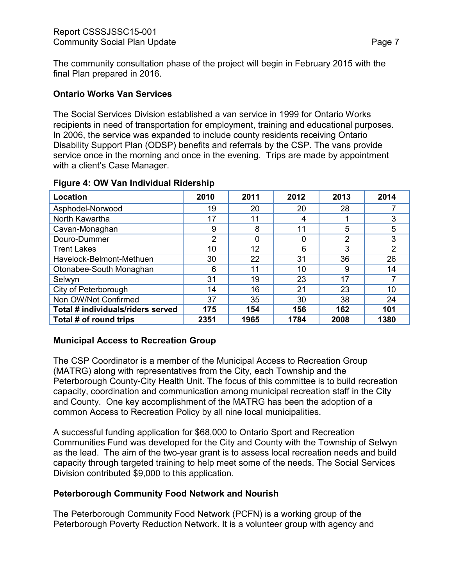The community consultation phase of the project will begin in February 2015 with the final Plan prepared in 2016.

### **Ontario Works Van Services**

The Social Services Division established a van service in 1999 for Ontario Works recipients in need of transportation for employment, training and educational purposes. In 2006, the service was expanded to include county residents receiving Ontario Disability Support Plan (ODSP) benefits and referrals by the CSP. The vans provide service once in the morning and once in the evening. Trips are made by appointment with a client's Case Manager.

| <b>Location</b>                   | 2010           | 2011 | 2012 | 2013 | 2014           |
|-----------------------------------|----------------|------|------|------|----------------|
| Asphodel-Norwood                  | 19             | 20   | 20   | 28   |                |
| North Kawartha                    | 17             | 11   | 4    |      | 3              |
| Cavan-Monaghan                    | 9              | 8    | 11   | 5    | 5              |
| Douro-Dummer                      | $\overline{2}$ | 0    | 0    | 2    | 3              |
| <b>Trent Lakes</b>                | 10             | 12   | 6    | 3    | $\overline{2}$ |
| Havelock-Belmont-Methuen          | 30             | 22   | 31   | 36   | 26             |
| Otonabee-South Monaghan           | 6              | 11   | 10   | 9    | 14             |
| Selwyn                            | 31             | 19   | 23   | 17   |                |
| City of Peterborough              | 14             | 16   | 21   | 23   | 10             |
| Non OW/Not Confirmed              | 37             | 35   | 30   | 38   | 24             |
| Total # individuals/riders served | 175            | 154  | 156  | 162  | 101            |
| Total # of round trips            | 2351           | 1965 | 1784 | 2008 | 1380           |

#### **Figure 4: OW Van Individual Ridership**

# **Municipal Access to Recreation Group**

The CSP Coordinator is a member of the Municipal Access to Recreation Group (MATRG) along with representatives from the City, each Township and the Peterborough County-City Health Unit. The focus of this committee is to build recreation capacity, coordination and communication among municipal recreation staff in the City and County. One key accomplishment of the MATRG has been the adoption of a common Access to Recreation Policy by all nine local municipalities.

A successful funding application for \$68,000 to Ontario Sport and Recreation Communities Fund was developed for the City and County with the Township of Selwyn as the lead. The aim of the two-year grant is to assess local recreation needs and build capacity through targeted training to help meet some of the needs. The Social Services Division contributed \$9,000 to this application.

### **Peterborough Community Food Network and Nourish**

The Peterborough Community Food Network (PCFN) is a working group of the Peterborough Poverty Reduction Network. It is a volunteer group with agency and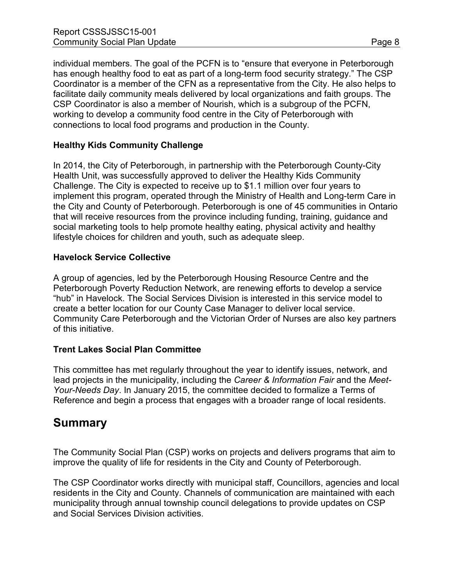individual members. The goal of the PCFN is to "ensure that everyone in Peterborough has enough healthy food to eat as part of a long-term food security strategy." The CSP Coordinator is a member of the CFN as a representative from the City. He also helps to facilitate daily community meals delivered by local organizations and faith groups. The CSP Coordinator is also a member of Nourish, which is a subgroup of the PCFN, working to develop a community food centre in the City of Peterborough with connections to local food programs and production in the County.

# **Healthy Kids Community Challenge**

In 2014, the City of Peterborough, in partnership with the Peterborough County-City Health Unit, was successfully approved to deliver the Healthy Kids Community Challenge. The City is expected to receive up to \$1.1 million over four years to implement this program, operated through the Ministry of Health and Long-term Care in the City and County of Peterborough. Peterborough is one of 45 communities in Ontario that will receive resources from the province including funding, training, guidance and social marketing tools to help promote healthy eating, physical activity and healthy lifestyle choices for children and youth, such as adequate sleep.

### **Havelock Service Collective**

A group of agencies, led by the Peterborough Housing Resource Centre and the Peterborough Poverty Reduction Network, are renewing efforts to develop a service "hub" in Havelock. The Social Services Division is interested in this service model to create a better location for our County Case Manager to deliver local service. Community Care Peterborough and the Victorian Order of Nurses are also key partners of this initiative.

### **Trent Lakes Social Plan Committee**

This committee has met regularly throughout the year to identify issues, network, and lead projects in the municipality, including the *Career & Information Fair* and the *Meet-Your-Needs Day*. In January 2015, the committee decided to formalize a Terms of Reference and begin a process that engages with a broader range of local residents.

# **Summary**

The Community Social Plan (CSP) works on projects and delivers programs that aim to improve the quality of life for residents in the City and County of Peterborough.

The CSP Coordinator works directly with municipal staff, Councillors, agencies and local residents in the City and County. Channels of communication are maintained with each municipality through annual township council delegations to provide updates on CSP and Social Services Division activities.